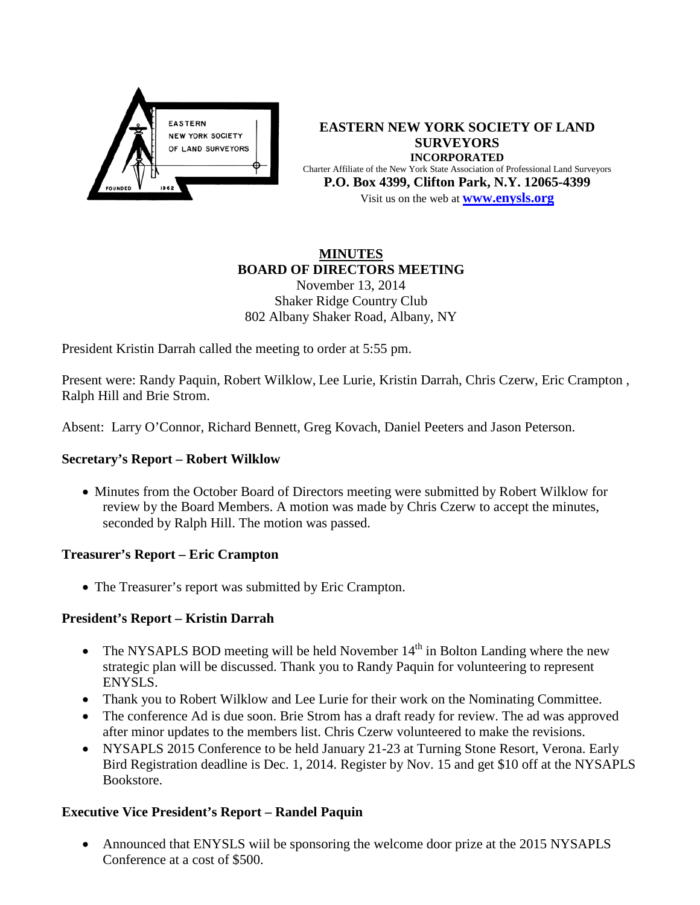

**EASTERN NEW YORK SOCIETY OF LAND SURVEYORS INCORPORATED** Charter Affiliate of the New York State Association of Professional Land Surveyors **P.O. Box 4399, Clifton Park, N.Y. 12065-4399** Visit us on the web at **[www.e](http://www.enysls.org/)nysls.org**

#### **MINUTES BOARD OF DIRECTORS MEETING** November 13, 2014

# Shaker Ridge Country Club 802 Albany Shaker Road, Albany, NY

President Kristin Darrah called the meeting to order at 5:55 pm.

Present were: Randy Paquin, Robert Wilklow, Lee Lurie, Kristin Darrah, Chris Czerw, Eric Crampton , Ralph Hill and Brie Strom.

Absent: Larry O'Connor, Richard Bennett, Greg Kovach, Daniel Peeters and Jason Peterson.

# **Secretary's Report – Robert Wilklow**

• Minutes from the October Board of Directors meeting were submitted by Robert Wilklow for review by the Board Members. A motion was made by Chris Czerw to accept the minutes, seconded by Ralph Hill. The motion was passed.

## **Treasurer's Report – Eric Crampton**

• The Treasurer's report was submitted by Eric Crampton.

# **President's Report – Kristin Darrah**

- The NYSAPLS BOD meeting will be held November  $14<sup>th</sup>$  in Bolton Landing where the new strategic plan will be discussed. Thank you to Randy Paquin for volunteering to represent ENYSLS.
- Thank you to Robert Wilklow and Lee Lurie for their work on the Nominating Committee.
- The conference Ad is due soon. Brie Strom has a draft ready for review. The ad was approved after minor updates to the members list. Chris Czerw volunteered to make the revisions.
- NYSAPLS 2015 Conference to be held January 21-23 at Turning Stone Resort, Verona. Early Bird Registration deadline is Dec. 1, 2014. Register by Nov. 15 and get \$10 off at the NYSAPLS Bookstore.

# **Executive Vice President's Report – Randel Paquin**

• Announced that ENYSLS will be sponsoring the welcome door prize at the 2015 NYSAPLS Conference at a cost of \$500.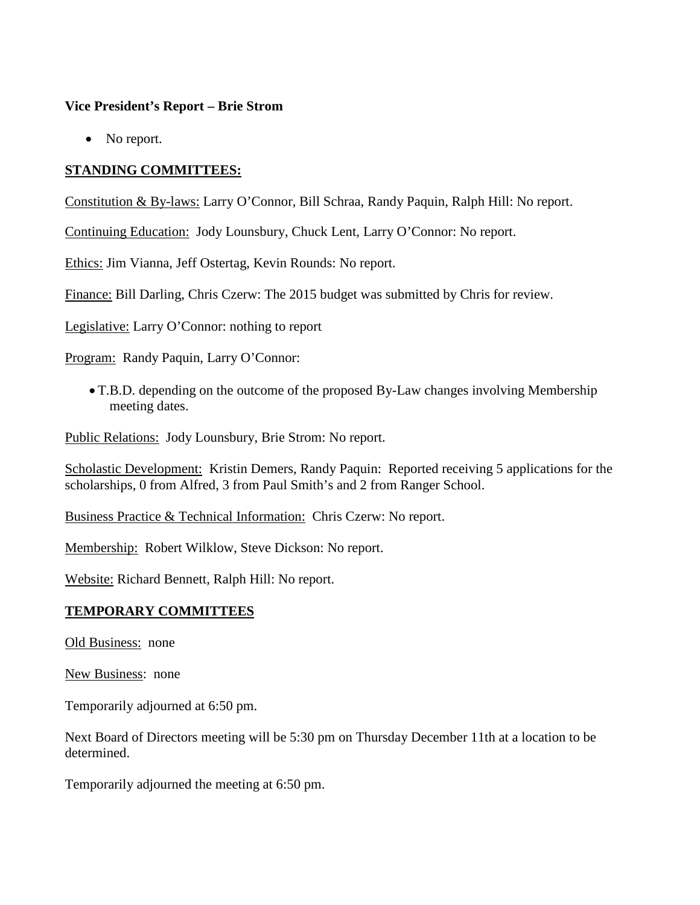#### **Vice President's Report – Brie Strom**

• No report.

## **STANDING COMMITTEES:**

Constitution & By-laws: Larry O'Connor, Bill Schraa, Randy Paquin, Ralph Hill: No report.

Continuing Education: Jody Lounsbury, Chuck Lent, Larry O'Connor: No report.

Ethics: Jim Vianna, Jeff Ostertag, Kevin Rounds: No report.

Finance: Bill Darling, Chris Czerw: The 2015 budget was submitted by Chris for review.

Legislative: Larry O'Connor: nothing to report

Program: Randy Paquin, Larry O'Connor:

• T.B.D. depending on the outcome of the proposed By-Law changes involving Membership meeting dates.

Public Relations: Jody Lounsbury, Brie Strom: No report.

Scholastic Development: Kristin Demers, Randy Paquin: Reported receiving 5 applications for the scholarships, 0 from Alfred, 3 from Paul Smith's and 2 from Ranger School.

Business Practice & Technical Information: Chris Czerw: No report.

Membership: Robert Wilklow, Steve Dickson: No report.

Website: Richard Bennett, Ralph Hill: No report.

## **TEMPORARY COMMITTEES**

Old Business: none

New Business: none

Temporarily adjourned at 6:50 pm.

Next Board of Directors meeting will be 5:30 pm on Thursday December 11th at a location to be determined.

Temporarily adjourned the meeting at 6:50 pm.